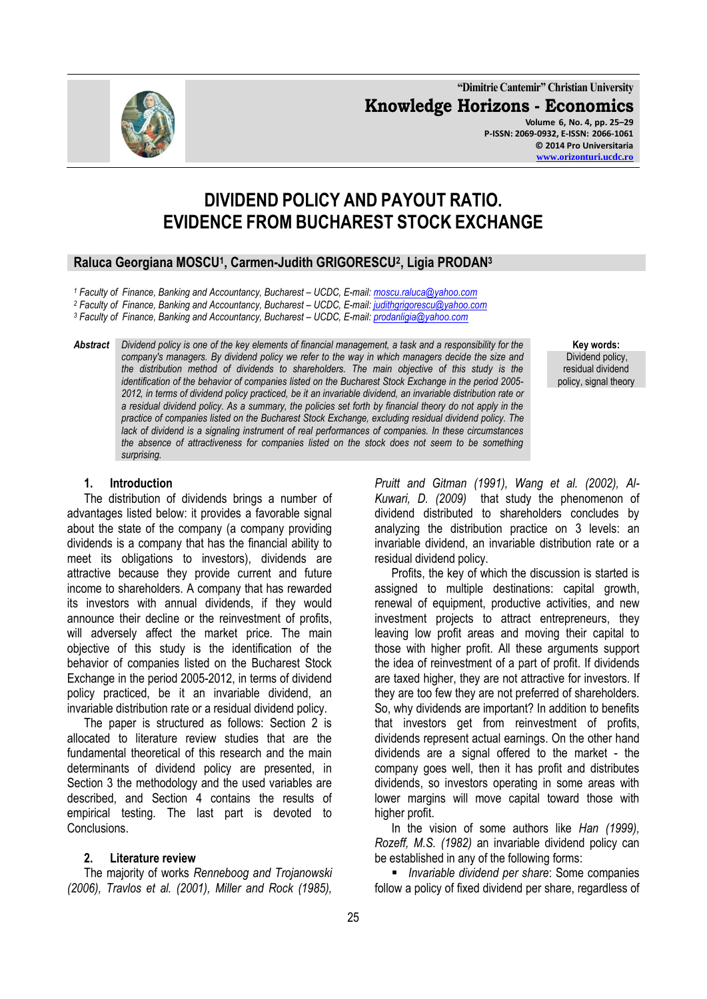**"Dimitrie Cantemir" Christian University Knowledge Horizons - Economics Volume 6, No. 4, pp. 25–29 P-ISSN: 2069-0932, E-ISSN: 2066-1061 © 2014 Pro Universitaria**

# **DIVIDEND POLICY AND PAYOUT RATIO. EVIDENCE FROM BUCHAREST STOCK EXCHANGE**

## **Raluca Georgiana MOSCU<sup>1</sup> , Carmen-Judith GRIGORESCU<sup>2</sup> , Ligia PRODAN<sup>3</sup>**

*<sup>1</sup> Faculty of Finance, Banking and Accountancy, Bucharest – UCDC, E-mail[: moscu.raluca@yahoo.com](mailto:moscu.raluca@yahoo.com)*

<sup>2</sup> Faculty of Finance, Banking and Accountancy, Bucharest - UCDC, E-mail[: judithgrigorescu@yahoo.com](mailto:judithgrigorescu@yahoo.com)

*<sup>3</sup> Faculty of Finance, Banking and Accountancy, Bucharest – UCDC, E-mail[: prodanligia@yahoo.com](mailto:prodanligia@yahoo.com)*

*Abstract Dividend policy is one of the key elements of financial management, a task and a responsibility for the company's managers. By dividend policy we refer to the way in which managers decide the size and the distribution method of dividends to shareholders. The main objective of this study is the identification of the behavior of companies listed on the Bucharest Stock Exchange in the period 2005- 2012, in terms of dividend policy practiced, be it an invariable dividend, an invariable distribution rate or a residual dividend policy. As a summary, the policies set forth by financial theory do not apply in the practice of companies listed on the Bucharest Stock Exchange, excluding residual dividend policy. The lack of dividend is a signaling instrument of real performances of companies. In these circumstances the absence of attractiveness for companies listed on the stock does not seem to be something surprising.*

#### **Key words:** Dividend policy, residual dividend policy, signal theory

#### **1. Introduction**

The distribution of dividends brings a number of advantages listed below: it provides a favorable signal about the state of the company (a company providing dividends is a company that has the financial ability to meet its obligations to investors), dividends are attractive because they provide current and future income to shareholders. A company that has rewarded its investors with annual dividends, if they would announce their decline or the reinvestment of profits, will adversely affect the market price. The main objective of this study is the identification of the behavior of companies listed on the Bucharest Stock Exchange in the period 2005-2012, in terms of dividend policy practiced, be it an invariable dividend, an invariable distribution rate or a residual dividend policy.

The paper is structured as follows: Section 2 is allocated to literature review studies that are the fundamental theoretical of this research and the main determinants of dividend policy are presented, in Section 3 the methodology and the used variables are described, and Section 4 contains the results of empirical testing. The last part is devoted to Conclusions.

### **2. Literature review**

The majority of works *Renneboog and Trojanowski (2006), Travlos et al. (2001), Miller and Rock (1985),* 

*Pruitt and Gitman (1991), Wang et al. (2002), Al-Kuwari, D. (2009)* that study the phenomenon of dividend distributed to shareholders concludes by analyzing the distribution practice on 3 levels: an invariable dividend, an invariable distribution rate or a residual dividend policy.

Profits, the key of which the discussion is started is assigned to multiple destinations: capital growth, renewal of equipment, productive activities, and new investment projects to attract entrepreneurs, they leaving low profit areas and moving their capital to those with higher profit. All these arguments support the idea of reinvestment of a part of profit. If dividends are taxed higher, they are not attractive for investors. If they are too few they are not preferred of shareholders. So, why dividends are important? In addition to benefits that investors get from reinvestment of profits, dividends represent actual earnings. On the other hand dividends are a signal offered to the market - the company goes well, then it has profit and distributes dividends, so investors operating in some areas with lower margins will move capital toward those with higher profit.

In the vision of some authors like *Han (1999), Rozeff, M.S. (1982)* an invariable dividend policy can be established in any of the following forms:

 *Invariable dividend per share*: Some companies follow a policy of fixed dividend per share, regardless of

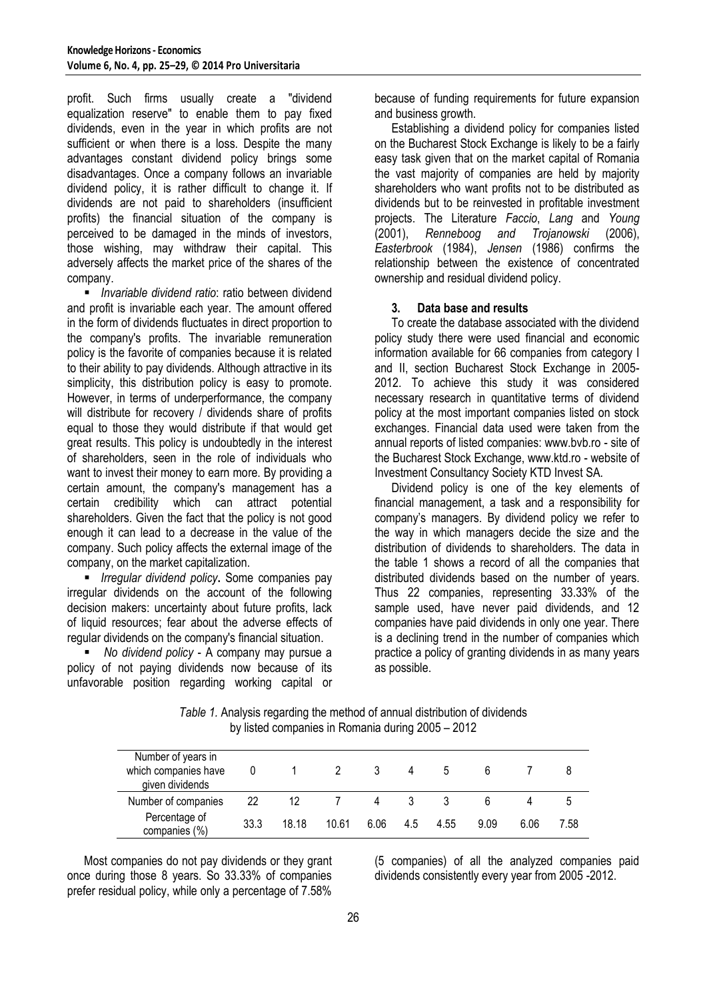profit. Such firms usually create a "dividend equalization reserve" to enable them to pay fixed dividends, even in the year in which profits are not sufficient or when there is a loss. Despite the many advantages constant dividend policy brings some disadvantages. Once a company follows an invariable dividend policy, it is rather difficult to change it. If dividends are not paid to shareholders (insufficient profits) the financial situation of the company is perceived to be damaged in the minds of investors, those wishing, may withdraw their capital. This adversely affects the market price of the shares of the company.

 *Invariable dividend ratio*: ratio between dividend and profit is invariable each year. The amount offered in the form of dividends fluctuates in direct proportion to the company's profits. The invariable remuneration policy is the favorite of companies because it is related to their ability to pay dividends. Although attractive in its simplicity, this distribution policy is easy to promote. However, in terms of underperformance, the company will distribute for recovery / dividends share of profits equal to those they would distribute if that would get great results. This policy is undoubtedly in the interest of shareholders, seen in the role of individuals who want to invest their money to earn more. By providing a certain amount, the company's management has a certain credibility which can attract potential shareholders. Given the fact that the policy is not good enough it can lead to a decrease in the value of the company. Such policy affects the external image of the company, on the market capitalization.

 *Irregular dividend policy***.** Some companies pay irregular dividends on the account of the following decision makers: uncertainty about future profits, lack of liquid resources; fear about the adverse effects of regular dividends on the company's financial situation.

 *No dividend policy* - A company may pursue a policy of not paying dividends now because of its unfavorable position regarding working capital or because of funding requirements for future expansion and business growth.

Establishing a dividend policy for companies listed on the Bucharest Stock Exchange is likely to be a fairly easy task given that on the market capital of Romania the vast majority of companies are held by majority shareholders who want profits not to be distributed as dividends but to be reinvested in profitable investment projects. The Literature *Faccio*, *Lang* and *Young* (2001), *Renneboog and Trojanowski* (2006), *Easterbrook* (1984), *Jensen* (1986) confirms the relationship between the existence of concentrated ownership and residual dividend policy.

#### **3. Data base and results**

To create the database associated with the dividend policy study there were used financial and economic information available for 66 companies from category I and II, section Bucharest Stock Exchange in 2005- 2012. To achieve this study it was considered necessary research in quantitative terms of dividend policy at the most important companies listed on stock exchanges. Financial data used were taken from the annual reports of listed companies: www.bvb.ro - site of the Bucharest Stock Exchange, www.ktd.ro - website of Investment Consultancy Society KTD Invest SA.

Dividend policy is one of the key elements of financial management, a task and a responsibility for company's managers. By dividend policy we refer to the way in which managers decide the size and the distribution of dividends to shareholders. The data in the table 1 shows a record of all the companies that distributed dividends based on the number of years. Thus 22 companies, representing 33.33% of the sample used, have never paid dividends, and 12 companies have paid dividends in only one year. There is a declining trend in the number of companies which practice a policy of granting dividends in as many years as possible.

| Number of years in<br>which companies have<br>given dividends | 0    |       |       |      | 4   |      |      |      |      |
|---------------------------------------------------------------|------|-------|-------|------|-----|------|------|------|------|
| Number of companies                                           | 22   | 12    |       | 4    |     |      |      |      |      |
| Percentage of<br>companies (%)                                | 33.3 | 18 18 | 10.61 | 6.06 | 4.5 | 4.55 | 9.09 | 6.06 | 7.58 |

*Table 1.* Analysis regarding the method of annual distribution of dividends by listed companies in Romania during 2005 – 2012

Most companies do not pay dividends or they grant once during those 8 years. So 33.33% of companies prefer residual policy, while only a percentage of 7.58%

(5 companies) of all the analyzed companies paid dividends consistently every year from 2005 -2012.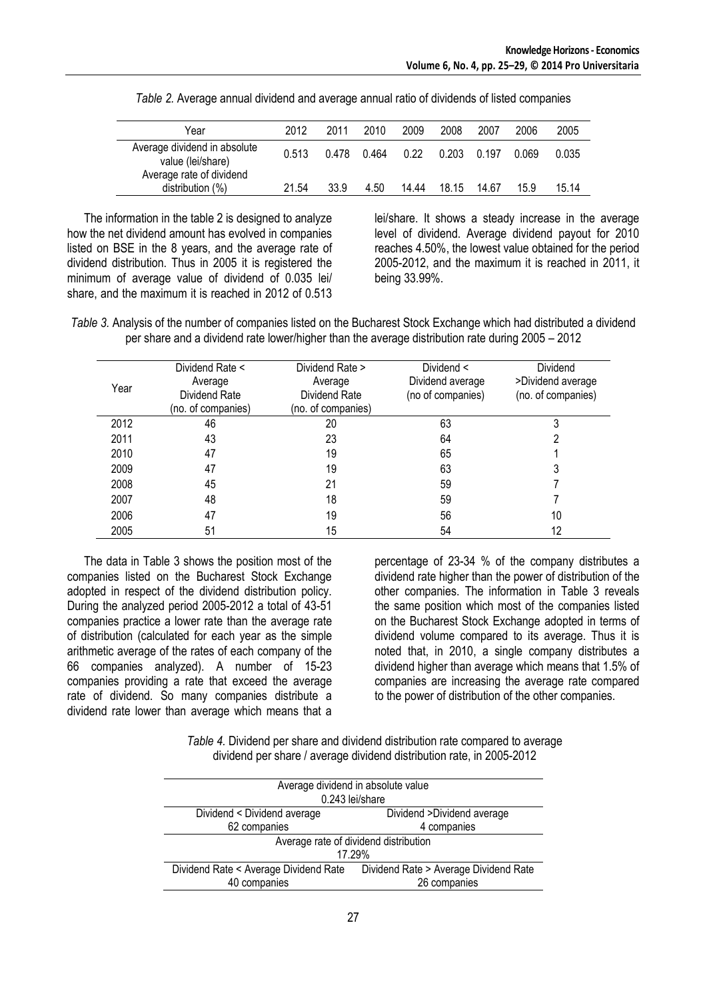| Year                                              | 2012  | 2011  | 2010  | 2009  | 2008  | 2007  | 2006  | 2005  |
|---------------------------------------------------|-------|-------|-------|-------|-------|-------|-------|-------|
| Average dividend in absolute<br>value (lei/share) | 0.513 | 0.478 | 0.464 | 0.22  | 0.203 | 0.197 | 0.069 | 0.035 |
| Average rate of dividend<br>distribution (%)      | 21.54 | 33.9  | 4.50  | 14.44 | 18.15 | 14.67 | 15.9  | 15 14 |

*Table 2.* Average annual dividend and average annual ratio of dividends of listed companies

The information in the table 2 is designed to analyze how the net dividend amount has evolved in companies listed on BSE in the 8 years, and the average rate of dividend distribution. Thus in 2005 it is registered the minimum of average value of dividend of 0.035 lei/ share, and the maximum it is reached in 2012 of 0.513

lei/share. It shows a steady increase in the average level of dividend. Average dividend payout for 2010 reaches 4.50%, the lowest value obtained for the period 2005-2012, and the maximum it is reached in 2011, it being 33.99%.

*Table 3.* Analysis of the number of companies listed on the Bucharest Stock Exchange which had distributed a dividend per share and a dividend rate lower/higher than the average distribution rate during 2005 – 2012

| Year | Dividend Rate <<br>Average<br>Dividend Rate<br>(no. of companies) | Dividend Rate ><br>Average<br>Dividend Rate<br>(no. of companies) | Dividend $\leq$<br>Dividend average<br>(no of companies) | Dividend<br>>Dividend average<br>(no. of companies) |
|------|-------------------------------------------------------------------|-------------------------------------------------------------------|----------------------------------------------------------|-----------------------------------------------------|
| 2012 | 46                                                                | 20                                                                | 63                                                       |                                                     |
| 2011 | 43                                                                | 23                                                                | 64                                                       |                                                     |
| 2010 | 47                                                                | 19                                                                | 65                                                       |                                                     |
| 2009 | 47                                                                | 19                                                                | 63                                                       |                                                     |
| 2008 | 45                                                                | 21                                                                | 59                                                       |                                                     |
| 2007 | 48                                                                | 18                                                                | 59                                                       |                                                     |
| 2006 | 47                                                                | 19                                                                | 56                                                       | 10                                                  |
| 2005 | 51                                                                | 15                                                                | 54                                                       | 12                                                  |

The data in Table 3 shows the position most of the companies listed on the Bucharest Stock Exchange adopted in respect of the dividend distribution policy. During the analyzed period 2005-2012 a total of 43-51 companies practice a lower rate than the average rate of distribution (calculated for each year as the simple arithmetic average of the rates of each company of the 66 companies analyzed). A number of 15-23 companies providing a rate that exceed the average rate of dividend. So many companies distribute a dividend rate lower than average which means that a percentage of 23-34 % of the company distributes a dividend rate higher than the power of distribution of the other companies. The information in Table 3 reveals the same position which most of the companies listed on the Bucharest Stock Exchange adopted in terms of dividend volume compared to its average. Thus it is noted that, in 2010, a single company distributes a dividend higher than average which means that 1.5% of companies are increasing the average rate compared to the power of distribution of the other companies.

*Table 4.* Dividend per share and dividend distribution rate compared to average dividend per share / average dividend distribution rate, in 2005-2012

| Average dividend in absolute value<br>0.243 lei/share |                                       |  |  |  |
|-------------------------------------------------------|---------------------------------------|--|--|--|
|                                                       |                                       |  |  |  |
| Dividend < Dividend average                           | Dividend >Dividend average            |  |  |  |
| 62 companies                                          | 4 companies                           |  |  |  |
| Average rate of dividend distribution                 |                                       |  |  |  |
| 17.29%                                                |                                       |  |  |  |
| Dividend Rate < Average Dividend Rate                 | Dividend Rate > Average Dividend Rate |  |  |  |
| 40 companies                                          | 26 companies                          |  |  |  |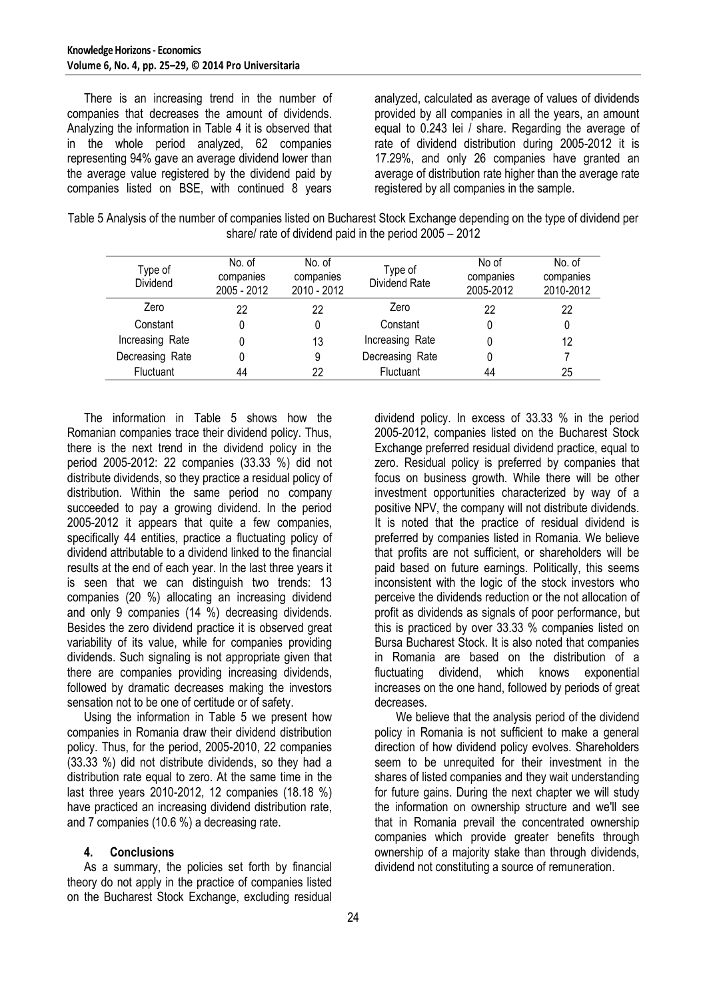There is an increasing trend in the number of companies that decreases the amount of dividends. Analyzing the information in Table 4 it is observed that in the whole period analyzed, 62 companies representing 94% gave an average dividend lower than the average value registered by the dividend paid by companies listed on BSE, with continued 8 years

analyzed, calculated as average of values of dividends provided by all companies in all the years, an amount equal to 0.243 lei / share. Regarding the average of rate of dividend distribution during 2005-2012 it is 17.29%, and only 26 companies have granted an average of distribution rate higher than the average rate registered by all companies in the sample.

| Table 5 Analysis of the number of companies listed on Bucharest Stock Exchange depending on the type of dividend per |
|----------------------------------------------------------------------------------------------------------------------|
| share/ rate of dividend paid in the period $2005 - 2012$                                                             |

| Type of<br>Dividend | No. of<br>companies<br>2005 - 2012 | No. of<br>companies<br>2010 - 2012 | Type of<br>Dividend Rate | No of<br>companies<br>2005-2012 | No. of<br>companies<br>2010-2012 |
|---------------------|------------------------------------|------------------------------------|--------------------------|---------------------------------|----------------------------------|
| Zero                | 22                                 | 22                                 | Zero                     | 22                              | 22                               |
| Constant            | 0                                  |                                    | Constant                 |                                 |                                  |
| Increasing Rate     |                                    | 13                                 | Increasing Rate          | 0                               | 12                               |
| Decreasing Rate     |                                    | 9                                  | Decreasing Rate          | 0                               |                                  |
| Fluctuant           | 44                                 | 22                                 | Fluctuant                | 44                              | 25                               |

The information in Table 5 shows how the Romanian companies trace their dividend policy. Thus, there is the next trend in the dividend policy in the period 2005-2012: 22 companies (33.33 %) did not distribute dividends, so they practice a residual policy of distribution. Within the same period no company succeeded to pay a growing dividend. In the period 2005-2012 it appears that quite a few companies, specifically 44 entities, practice a fluctuating policy of dividend attributable to a dividend linked to the financial results at the end of each year. In the last three years it is seen that we can distinguish two trends: 13 companies (20 %) allocating an increasing dividend and only 9 companies (14 %) decreasing dividends. Besides the zero dividend practice it is observed great variability of its value, while for companies providing dividends. Such signaling is not appropriate given that there are companies providing increasing dividends, followed by dramatic decreases making the investors sensation not to be one of certitude or of safety.

Using the information in Table 5 we present how companies in Romania draw their dividend distribution policy. Thus, for the period, 2005-2010, 22 companies (33.33 %) did not distribute dividends, so they had a distribution rate equal to zero. At the same time in the last three years 2010-2012, 12 companies (18.18 %) have practiced an increasing dividend distribution rate, and 7 companies (10.6 %) a decreasing rate.

### **4. Conclusions**

As a summary, the policies set forth by financial theory do not apply in the practice of companies listed on the Bucharest Stock Exchange, excluding residual dividend policy. In excess of 33.33 % in the period 2005-2012, companies listed on the Bucharest Stock Exchange preferred residual dividend practice, equal to zero. Residual policy is preferred by companies that focus on business growth. While there will be other investment opportunities characterized by way of a positive NPV, the company will not distribute dividends. It is noted that the practice of residual dividend is preferred by companies listed in Romania. We believe that profits are not sufficient, or shareholders will be paid based on future earnings. Politically, this seems inconsistent with the logic of the stock investors who perceive the dividends reduction or the not allocation of profit as dividends as signals of poor performance, but this is practiced by over 33.33 % companies listed on Bursa Bucharest Stock. It is also noted that companies in Romania are based on the distribution of a fluctuating dividend, which knows exponential increases on the one hand, followed by periods of great decreases.

We believe that the analysis period of the dividend policy in Romania is not sufficient to make a general direction of how dividend policy evolves. Shareholders seem to be unrequited for their investment in the shares of listed companies and they wait understanding for future gains. During the next chapter we will study the information on ownership structure and we'll see that in Romania prevail the concentrated ownership companies which provide greater benefits through ownership of a majority stake than through dividends, dividend not constituting a source of remuneration.